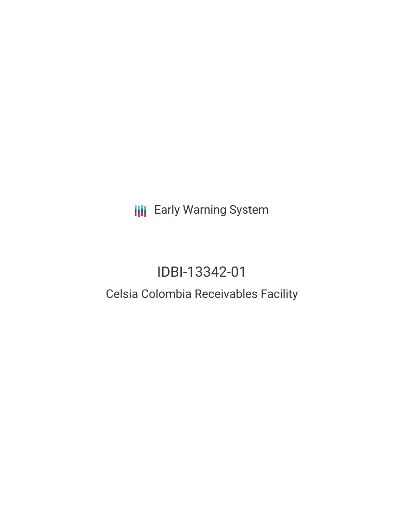**III** Early Warning System

# IDBI-13342-01

## Celsia Colombia Receivables Facility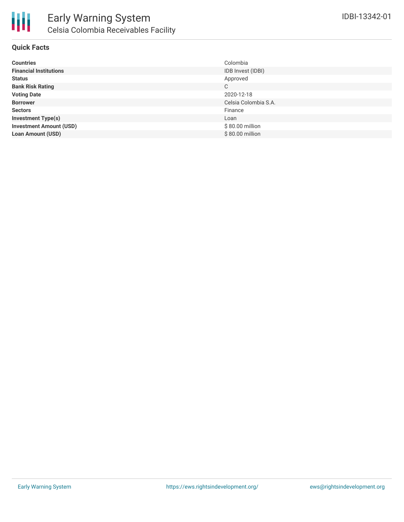

### **Quick Facts**

| <b>Countries</b>               | Colombia             |
|--------------------------------|----------------------|
| <b>Financial Institutions</b>  | IDB Invest (IDBI)    |
| <b>Status</b>                  | Approved             |
| <b>Bank Risk Rating</b>        | C                    |
| <b>Voting Date</b>             | 2020-12-18           |
| <b>Borrower</b>                | Celsia Colombia S.A. |
| <b>Sectors</b>                 | Finance              |
| <b>Investment Type(s)</b>      | Loan                 |
| <b>Investment Amount (USD)</b> | \$80.00 million      |
| <b>Loan Amount (USD)</b>       | \$80.00 million      |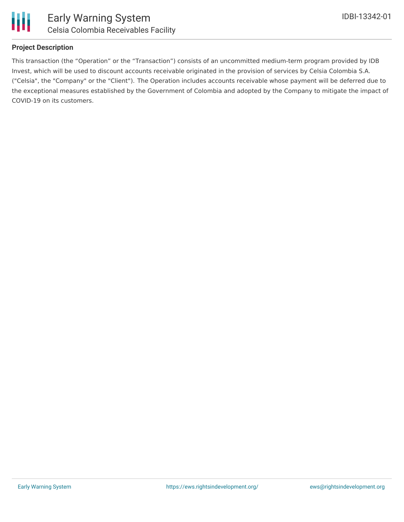

Ш

### **Project Description**

This transaction (the "Operation" or the "Transaction") consists of an uncommitted medium-term program provided by IDB Invest, which will be used to discount accounts receivable originated in the provision of services by Celsia Colombia S.A. ("Celsia", the "Company" or the "Client"). The Operation includes accounts receivable whose payment will be deferred due to the exceptional measures established by the Government of Colombia and adopted by the Company to mitigate the impact of COVID-19 on its customers.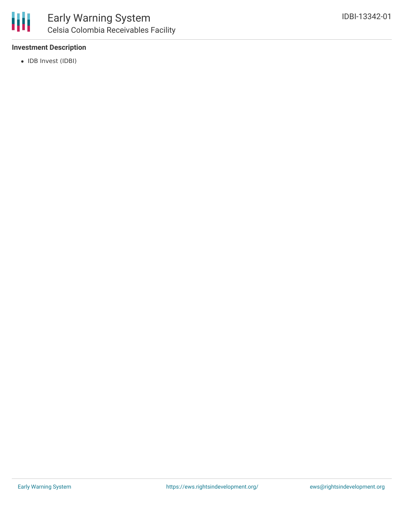

### **Investment Description**

• IDB Invest (IDBI)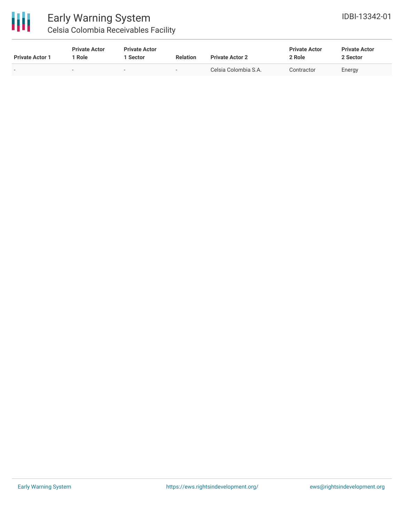

### Early Warning System Celsia Colombia Receivables Facility

| <b>Private Actor 1</b> | <b>Private Actor</b><br>1 Role | <b>Private Actor</b><br>Sector | <b>Relation</b>          | <b>Private Actor 2</b> | <b>Private Actor</b><br>2 Role | <b>Private Actor</b><br>2 Sector |  |
|------------------------|--------------------------------|--------------------------------|--------------------------|------------------------|--------------------------------|----------------------------------|--|
|                        |                                |                                | $\overline{\phantom{a}}$ | Celsia Colombia S.A.   | Contractor                     | Energy                           |  |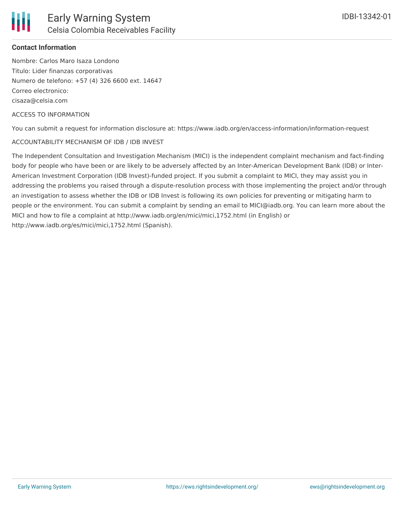### **Contact Information**

Nombre: Carlos Maro Isaza Londono Titulo: Lider finanzas corporativas Numero de telefono: +57 (4) 326 6600 ext. 14647 Correo electronico: cisaza@celsia.com

### ACCESS TO INFORMATION

You can submit a request for information disclosure at: https://www.iadb.org/en/access-information/information-request

### ACCOUNTABILITY MECHANISM OF IDB / IDB INVEST

The Independent Consultation and Investigation Mechanism (MICI) is the independent complaint mechanism and fact-finding body for people who have been or are likely to be adversely affected by an Inter-American Development Bank (IDB) or Inter-American Investment Corporation (IDB Invest)-funded project. If you submit a complaint to MICI, they may assist you in addressing the problems you raised through a dispute-resolution process with those implementing the project and/or through an investigation to assess whether the IDB or IDB Invest is following its own policies for preventing or mitigating harm to people or the environment. You can submit a complaint by sending an email to MICI@iadb.org. You can learn more about the MICI and how to file a complaint at http://www.iadb.org/en/mici/mici,1752.html (in English) or http://www.iadb.org/es/mici/mici,1752.html (Spanish).